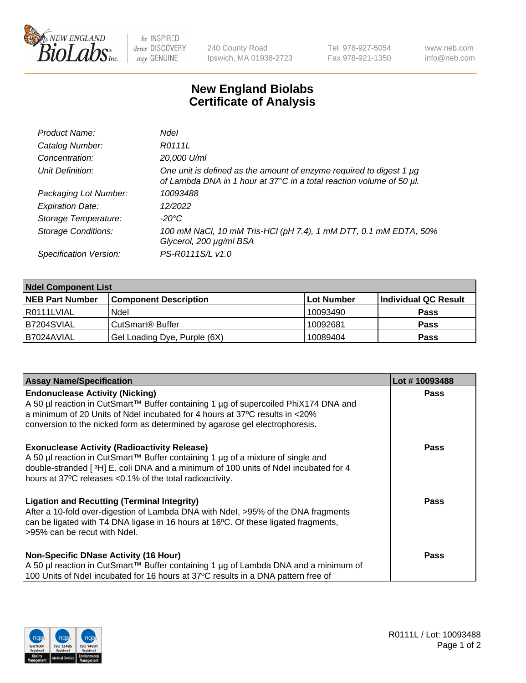

 $be$  INSPIRED drive DISCOVERY stay GENUINE

240 County Road Ipswich, MA 01938-2723 Tel 978-927-5054 Fax 978-921-1350 www.neb.com info@neb.com

## **New England Biolabs Certificate of Analysis**

| Product Name:              | <b>Ndel</b>                                                                                                                                      |
|----------------------------|--------------------------------------------------------------------------------------------------------------------------------------------------|
| Catalog Number:            | R0111L                                                                                                                                           |
| Concentration:             | 20,000 U/ml                                                                                                                                      |
| Unit Definition:           | One unit is defined as the amount of enzyme required to digest 1 $\mu$ g<br>of Lambda DNA in 1 hour at 37°C in a total reaction volume of 50 µl. |
| Packaging Lot Number:      | 10093488                                                                                                                                         |
| <b>Expiration Date:</b>    | 12/2022                                                                                                                                          |
| Storage Temperature:       | -20°C                                                                                                                                            |
| <b>Storage Conditions:</b> | 100 mM NaCl, 10 mM Tris-HCl (pH 7.4), 1 mM DTT, 0.1 mM EDTA, 50%<br>Glycerol, 200 µg/ml BSA                                                      |
| Specification Version:     | PS-R0111S/L v1.0                                                                                                                                 |

| <b>Ndel Component List</b> |                              |                   |                      |  |
|----------------------------|------------------------------|-------------------|----------------------|--|
| <b>NEB Part Number</b>     | <b>Component Description</b> | <b>Lot Number</b> | Individual QC Result |  |
| I R0111LVIAL               | Ndel                         | 10093490          | <b>Pass</b>          |  |
| B7204SVIAL                 | CutSmart <sup>®</sup> Buffer | 10092681          | <b>Pass</b>          |  |
| IB7024AVIAL                | Gel Loading Dye, Purple (6X) | 10089404          | <b>Pass</b>          |  |

| <b>Assay Name/Specification</b>                                                                                                                                                                                                                                                             | Lot #10093488 |
|---------------------------------------------------------------------------------------------------------------------------------------------------------------------------------------------------------------------------------------------------------------------------------------------|---------------|
| <b>Endonuclease Activity (Nicking)</b><br>A 50 µl reaction in CutSmart™ Buffer containing 1 µg of supercoiled PhiX174 DNA and                                                                                                                                                               | <b>Pass</b>   |
| a minimum of 20 Units of Ndel incubated for 4 hours at 37°C results in <20%<br>conversion to the nicked form as determined by agarose gel electrophoresis.                                                                                                                                  |               |
| <b>Exonuclease Activity (Radioactivity Release)</b><br>  A 50 µl reaction in CutSmart™ Buffer containing 1 µg of a mixture of single and<br>double-stranded [3H] E. coli DNA and a minimum of 100 units of Ndel incubated for 4<br>hours at 37°C releases <0.1% of the total radioactivity. | <b>Pass</b>   |
| <b>Ligation and Recutting (Terminal Integrity)</b><br>After a 10-fold over-digestion of Lambda DNA with Ndel, >95% of the DNA fragments<br>can be ligated with T4 DNA ligase in 16 hours at 16 $\degree$ C. Of these ligated fragments,<br>l >95% can be recut with Ndel.                   | Pass          |
| Non-Specific DNase Activity (16 Hour)<br>A 50 µl reaction in CutSmart™ Buffer containing 1 µg of Lambda DNA and a minimum of                                                                                                                                                                | Pass          |
| 100 Units of Ndel incubated for 16 hours at 37°C results in a DNA pattern free of                                                                                                                                                                                                           |               |